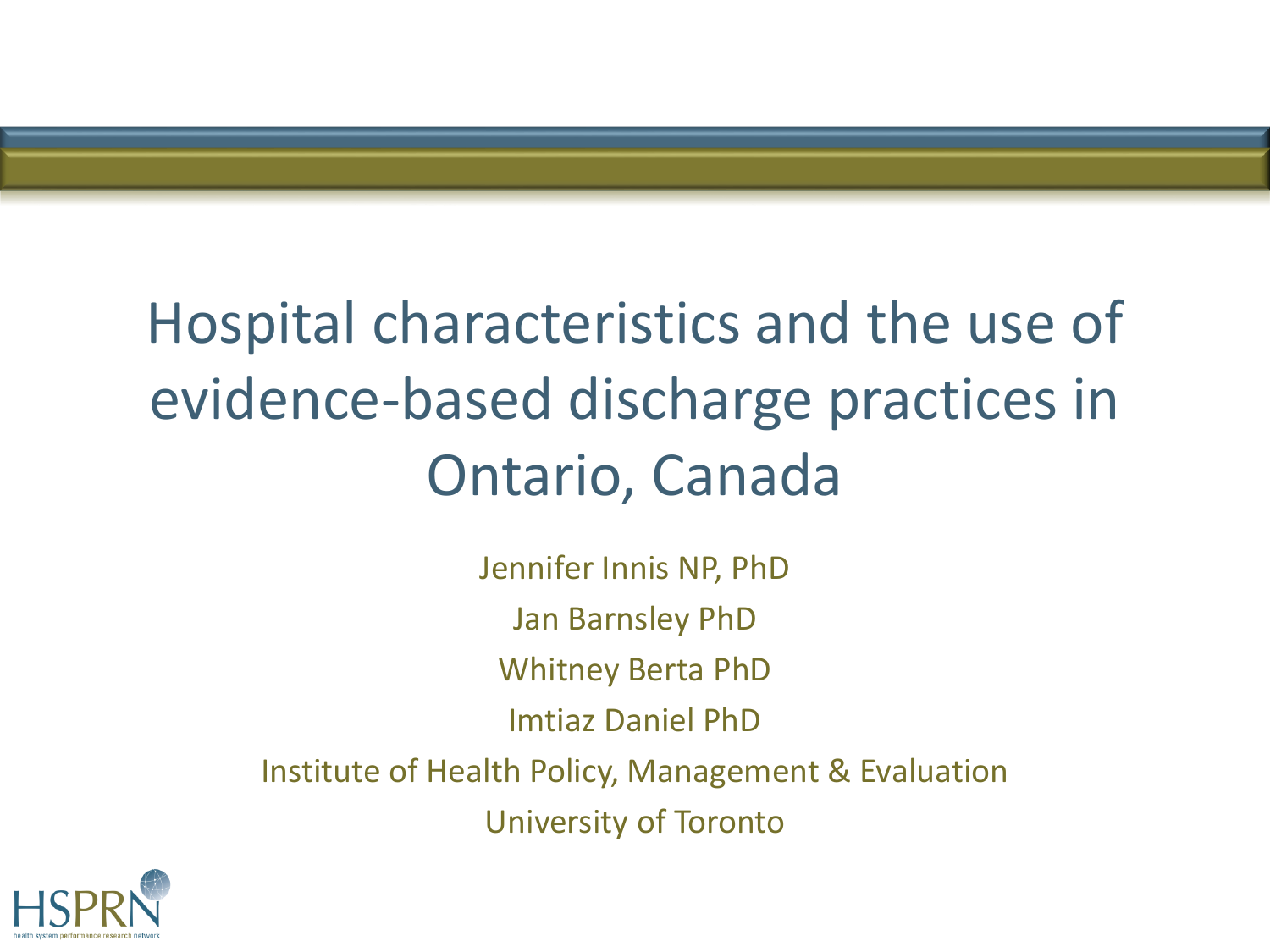

## Hospital characteristics and the use of evidence-based discharge practices in Ontario, Canada

Jennifer Innis NP, PhD Jan Barnsley PhD Whitney Berta PhD Imtiaz Daniel PhD Institute of Health Policy, Management & Evaluation University of Toronto

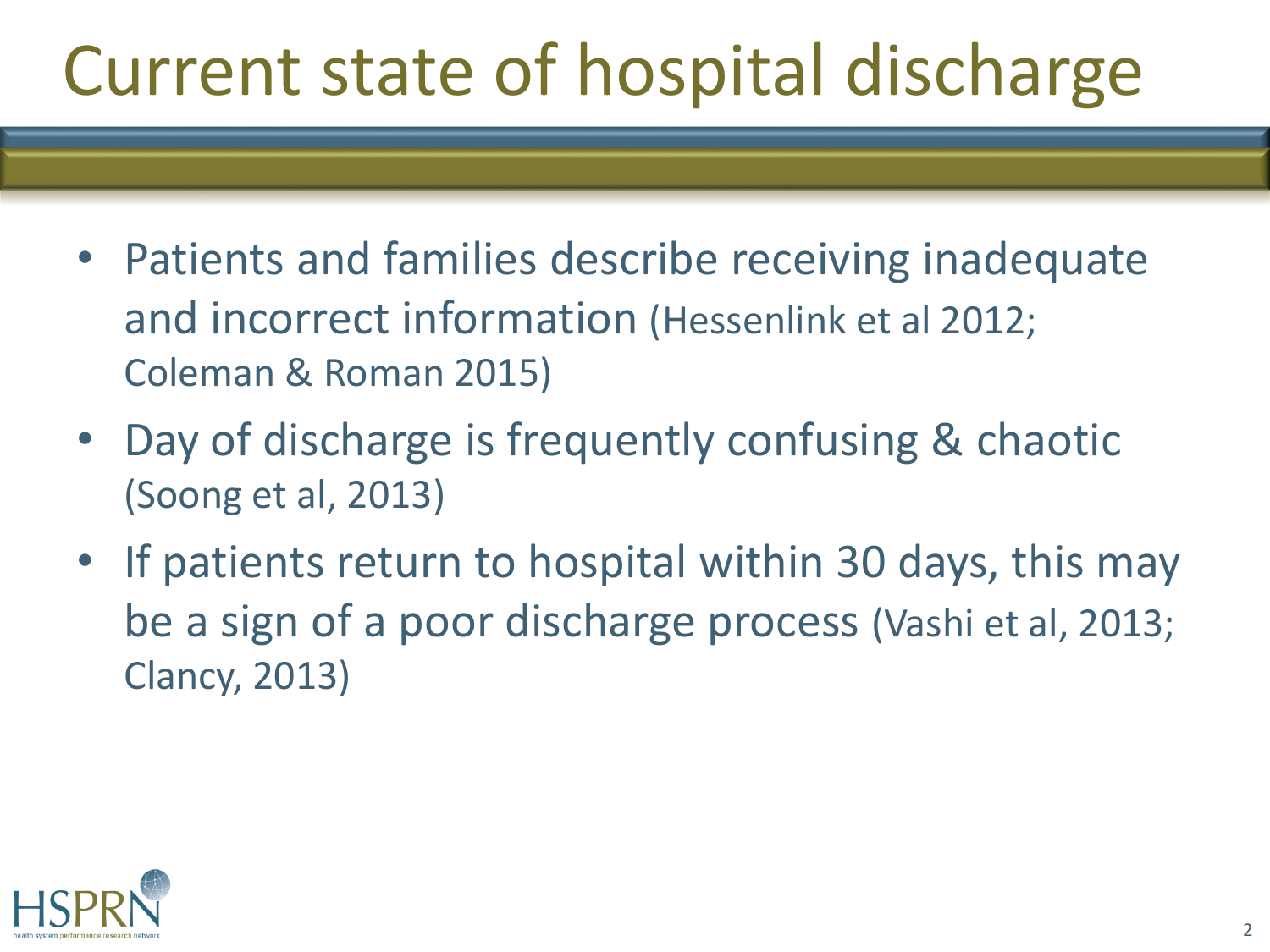# Current state of hospital discharge

- Patients and families describe receiving inadequate and incorrect information (Hessenlink et al 2012; Coleman & Roman 2015)
- Day of discharge is frequently confusing & chaotic (Soong et al, 2013)
- If patients return to hospital within 30 days, this may be a sign of a poor discharge process (Vashi et al, 2013; Clancy, 2013)

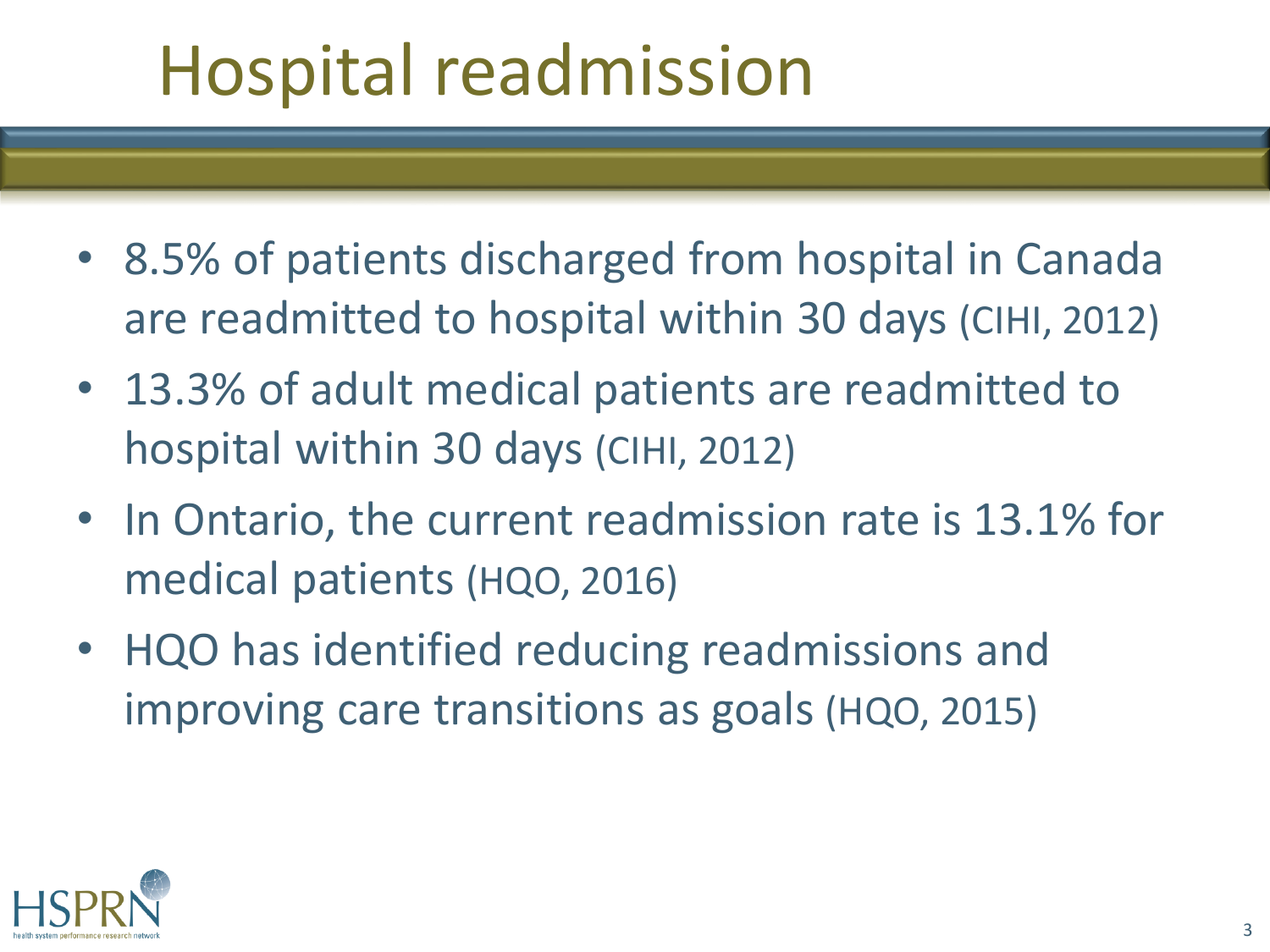# Hospital readmission

- 8.5% of patients discharged from hospital in Canada are readmitted to hospital within 30 days (CIHI, 2012)
- 13.3% of adult medical patients are readmitted to hospital within 30 days (CIHI, 2012)
- In Ontario, the current readmission rate is 13.1% for medical patients (HQO, 2016)
- HQO has identified reducing readmissions and improving care transitions as goals (HQO, 2015)

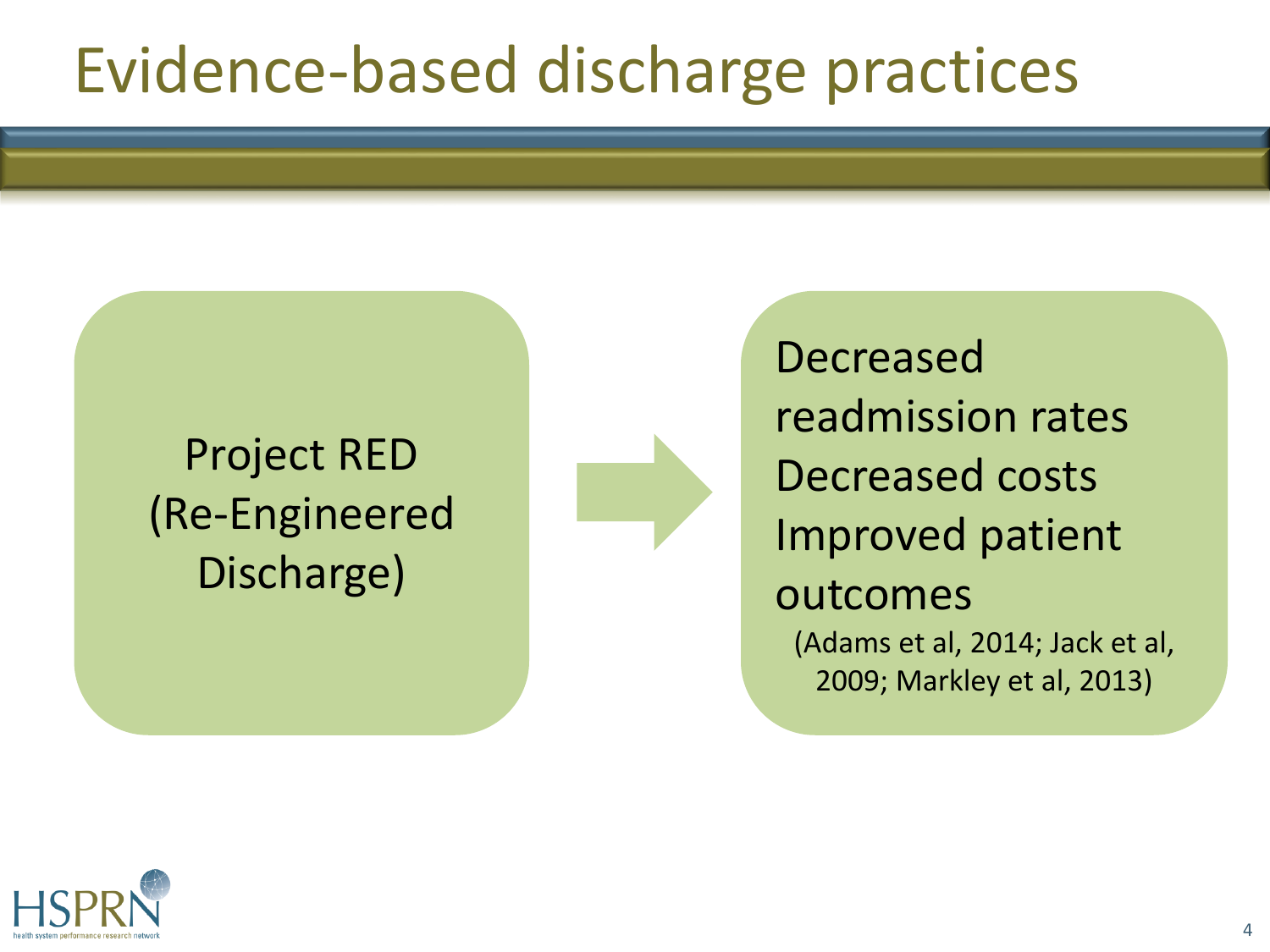## Evidence-based discharge practices

#### Project RED (Re-Engineered Discharge)



Decreased readmission rates Decreased costs Improved patient outcomes (Adams et al, 2014; Jack et al, 2009; Markley et al, 2013)

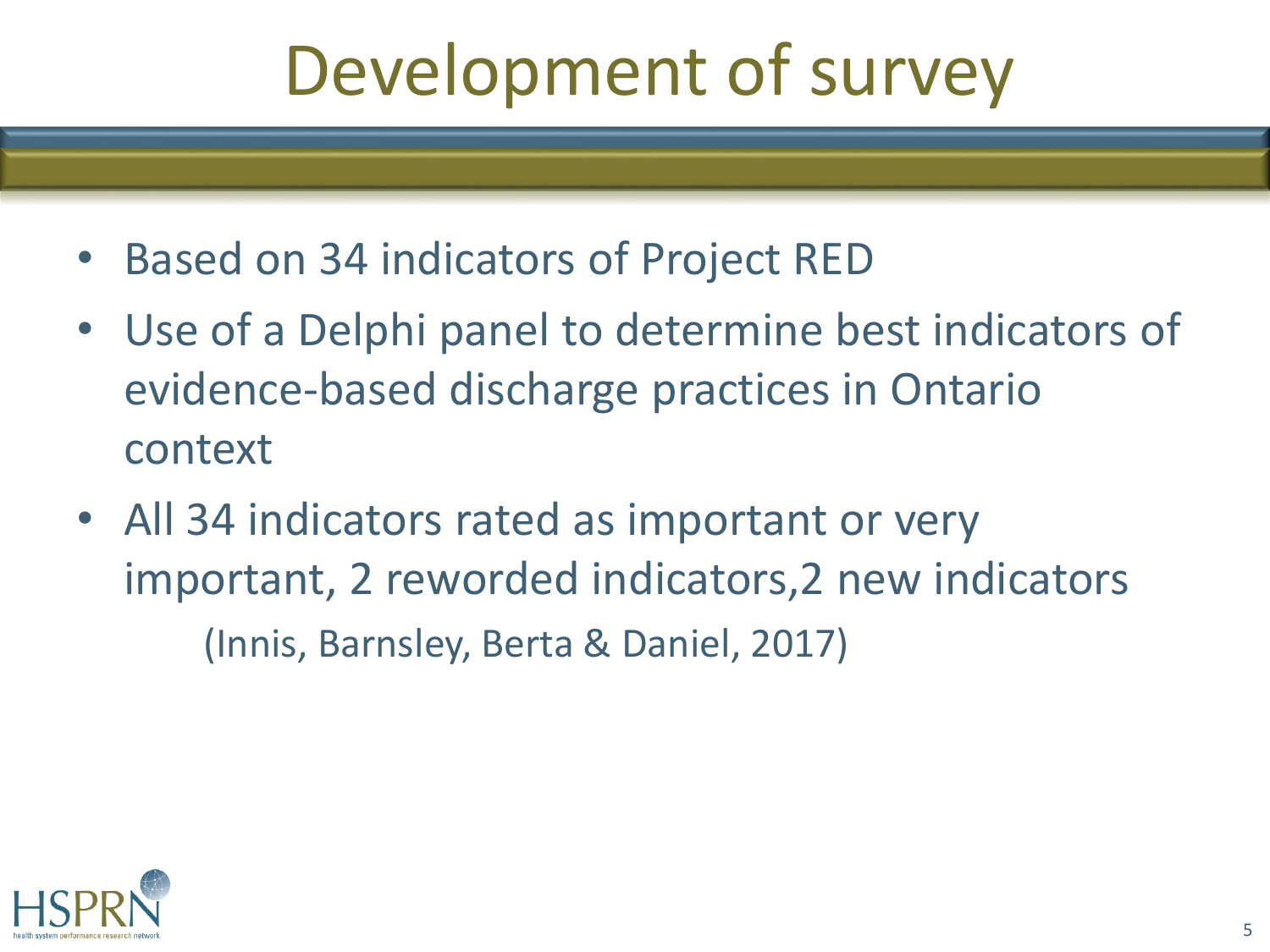# Development of survey

- Based on 34 indicators of Project RED
- Use of a Delphi panel to determine best indicators of evidence-based discharge practices in Ontario context
- All 34 indicators rated as important or very important, 2 reworded indicators,2 new indicators (Innis, Barnsley, Berta & Daniel, 2017)

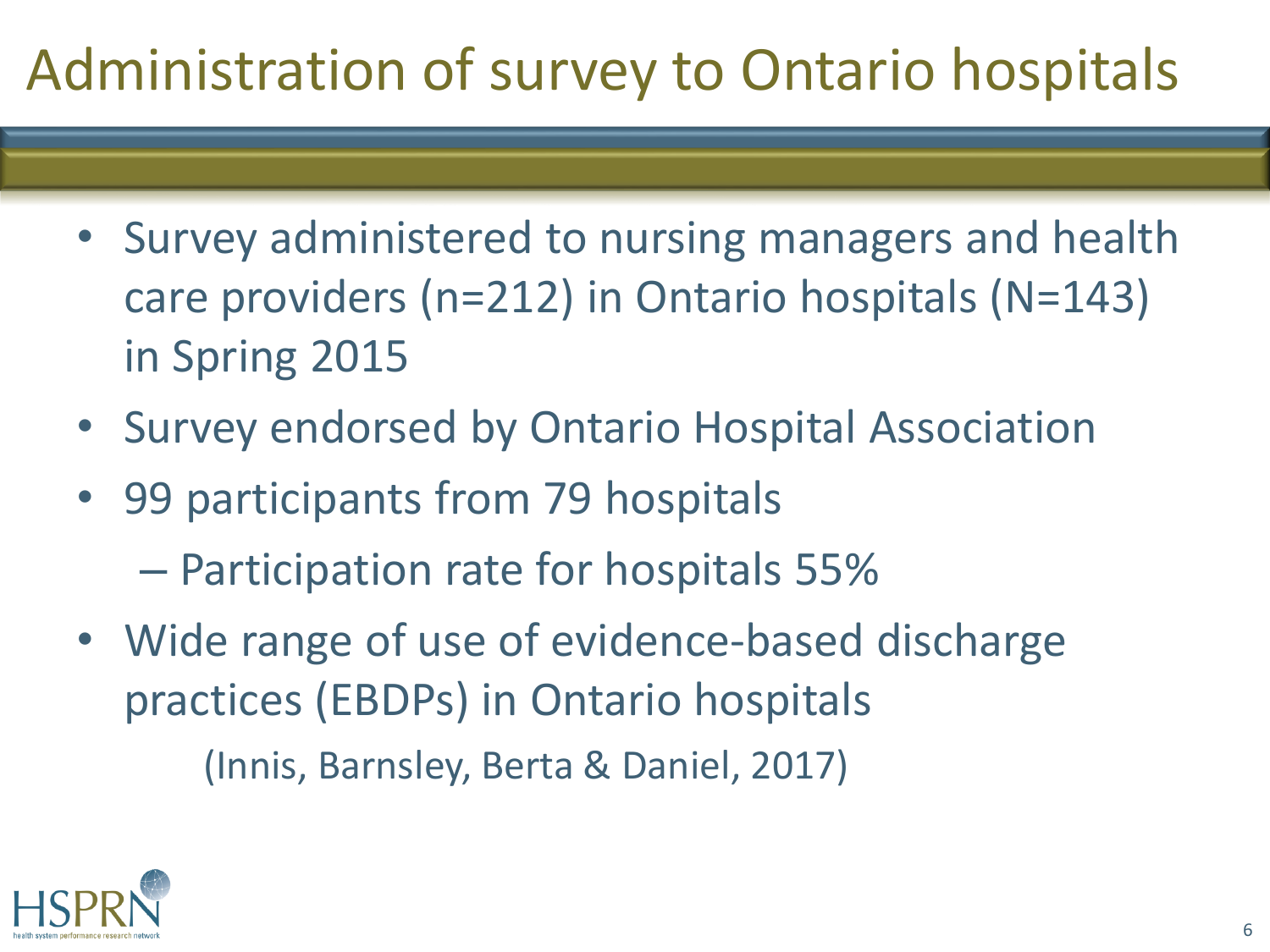### Administration of survey to Ontario hospitals

- Survey administered to nursing managers and health care providers (n=212) in Ontario hospitals (N=143) in Spring 2015
- Survey endorsed by Ontario Hospital Association
- 99 participants from 79 hospitals
	- Participation rate for hospitals 55%
- Wide range of use of evidence-based discharge practices (EBDPs) in Ontario hospitals

(Innis, Barnsley, Berta & Daniel, 2017)

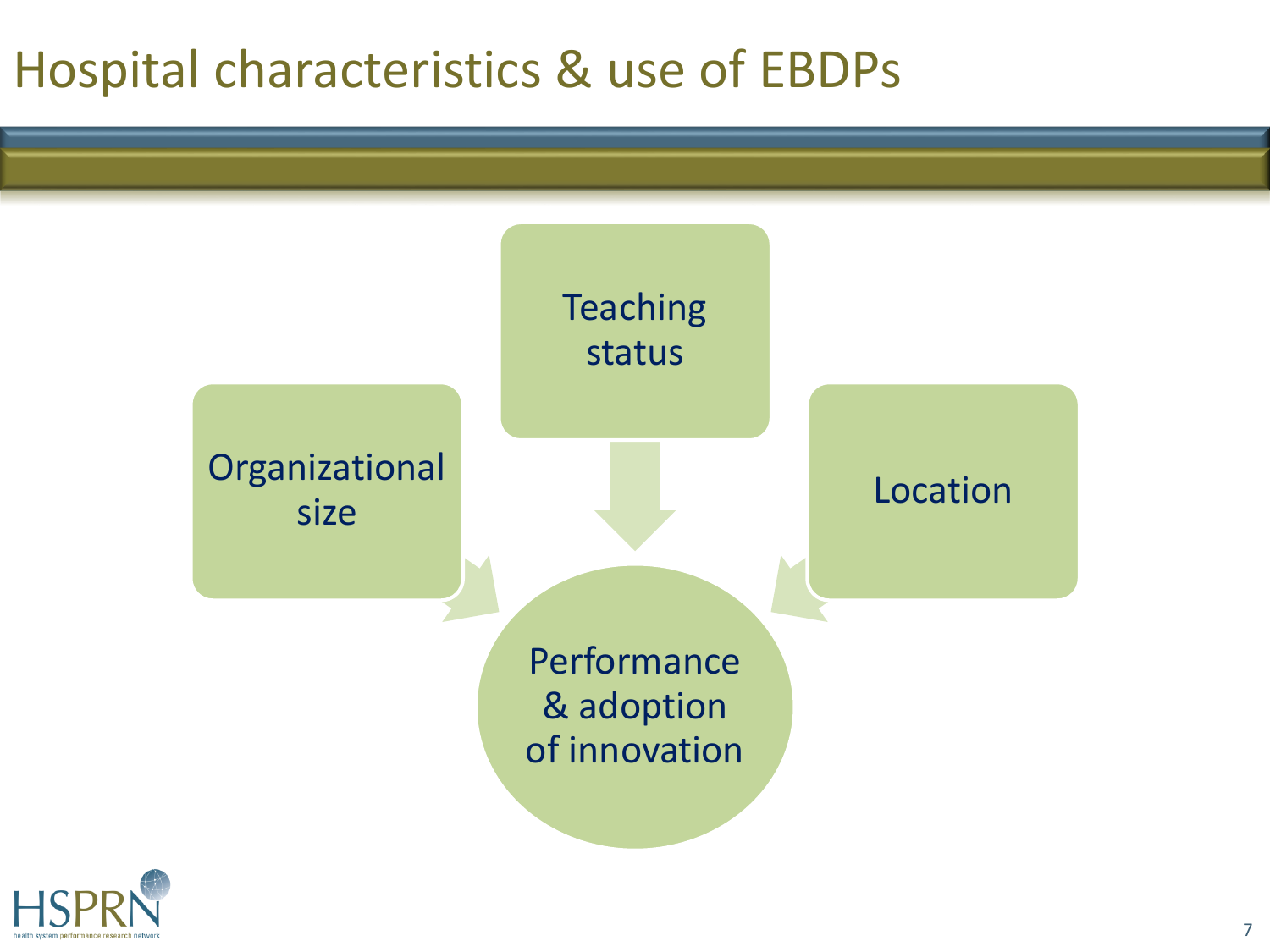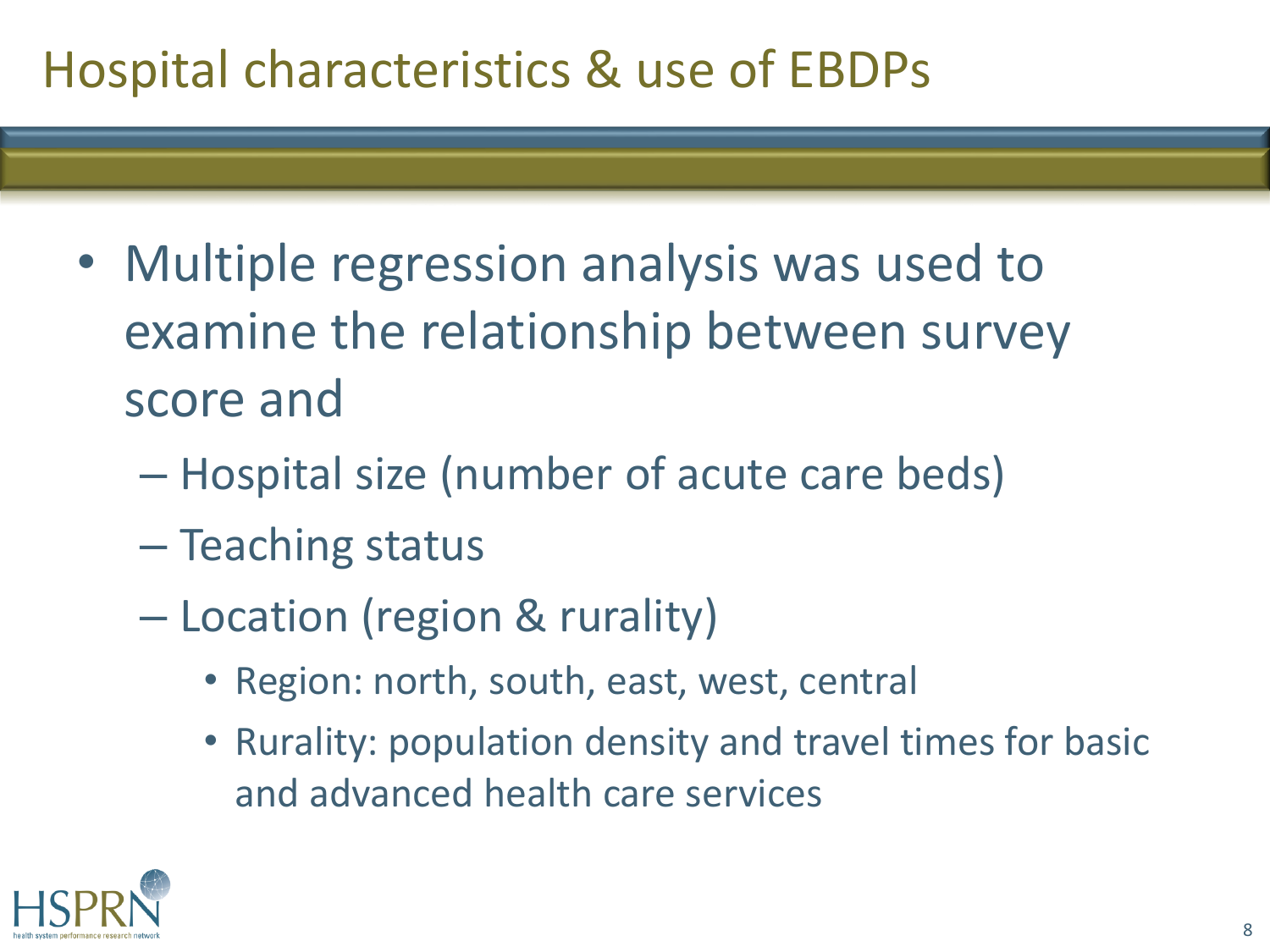- Multiple regression analysis was used to examine the relationship between survey score and
	- Hospital size (number of acute care beds)
	- Teaching status
	- Location (region & rurality)
		- Region: north, south, east, west, central
		- Rurality: population density and travel times for basic and advanced health care services

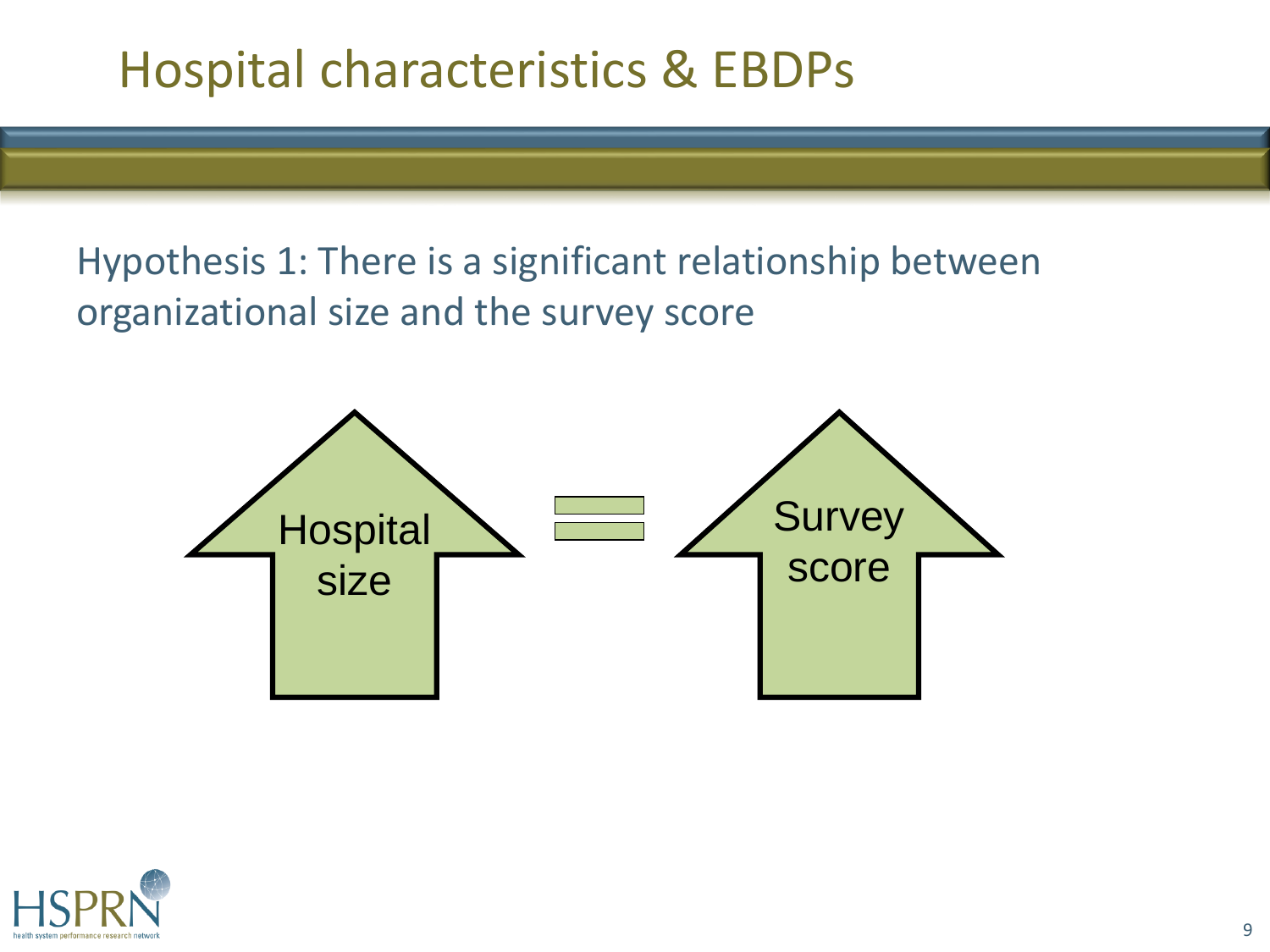Hypothesis 1: There is a significant relationship between organizational size and the survey score



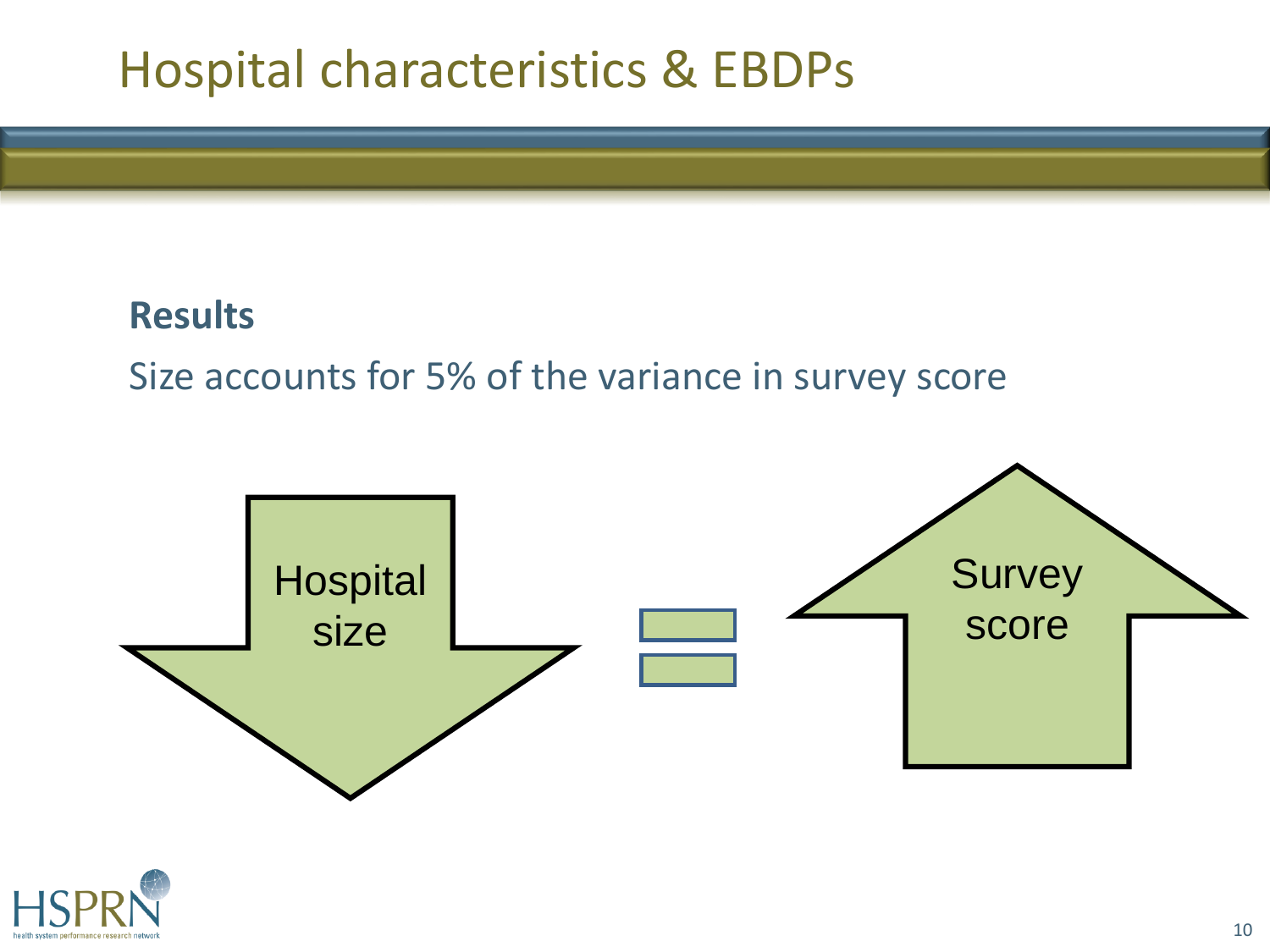#### **Results**

#### Size accounts for 5% of the variance in survey score



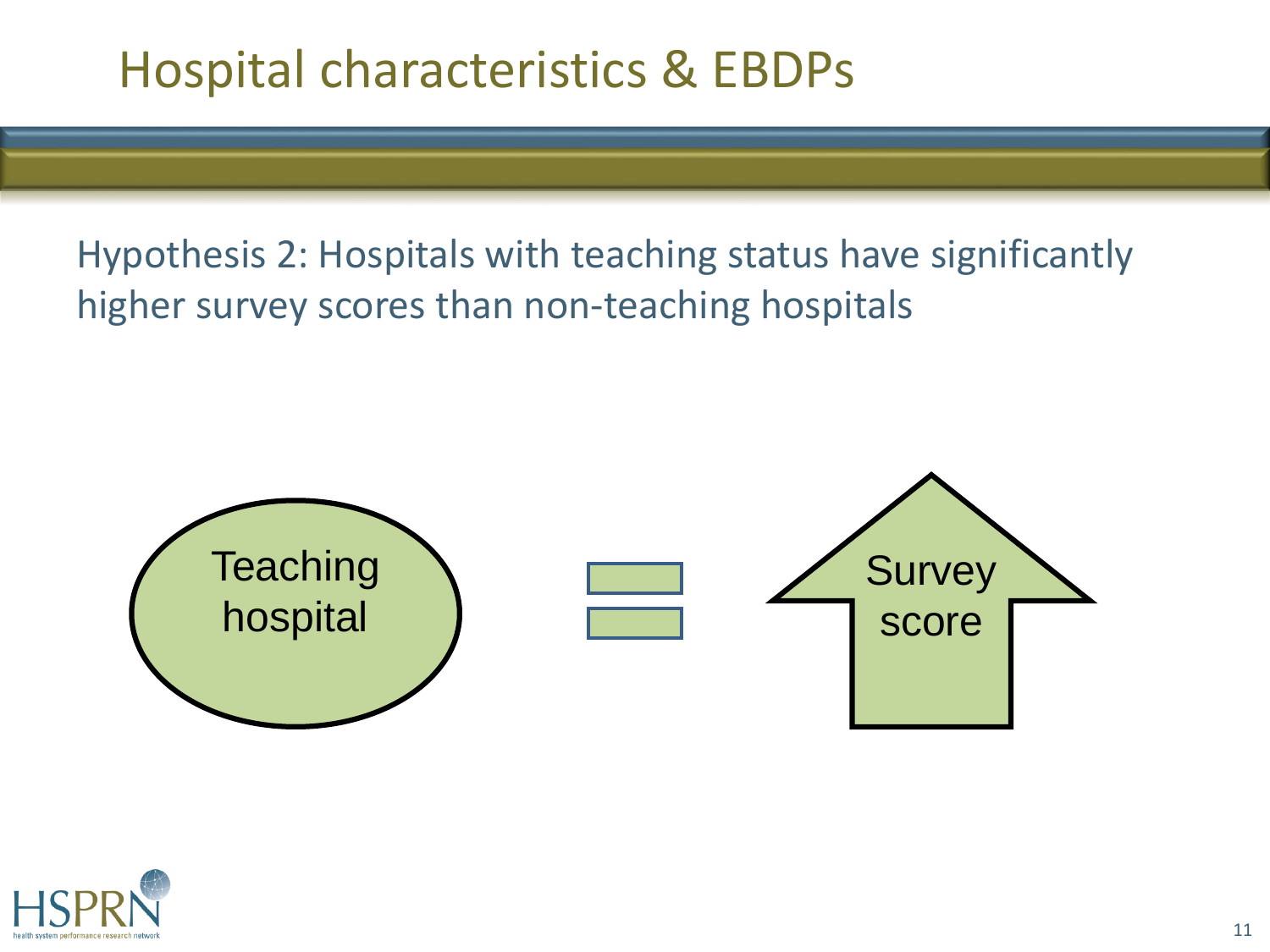Hypothesis 2: Hospitals with teaching status have significantly higher survey scores than non-teaching hospitals



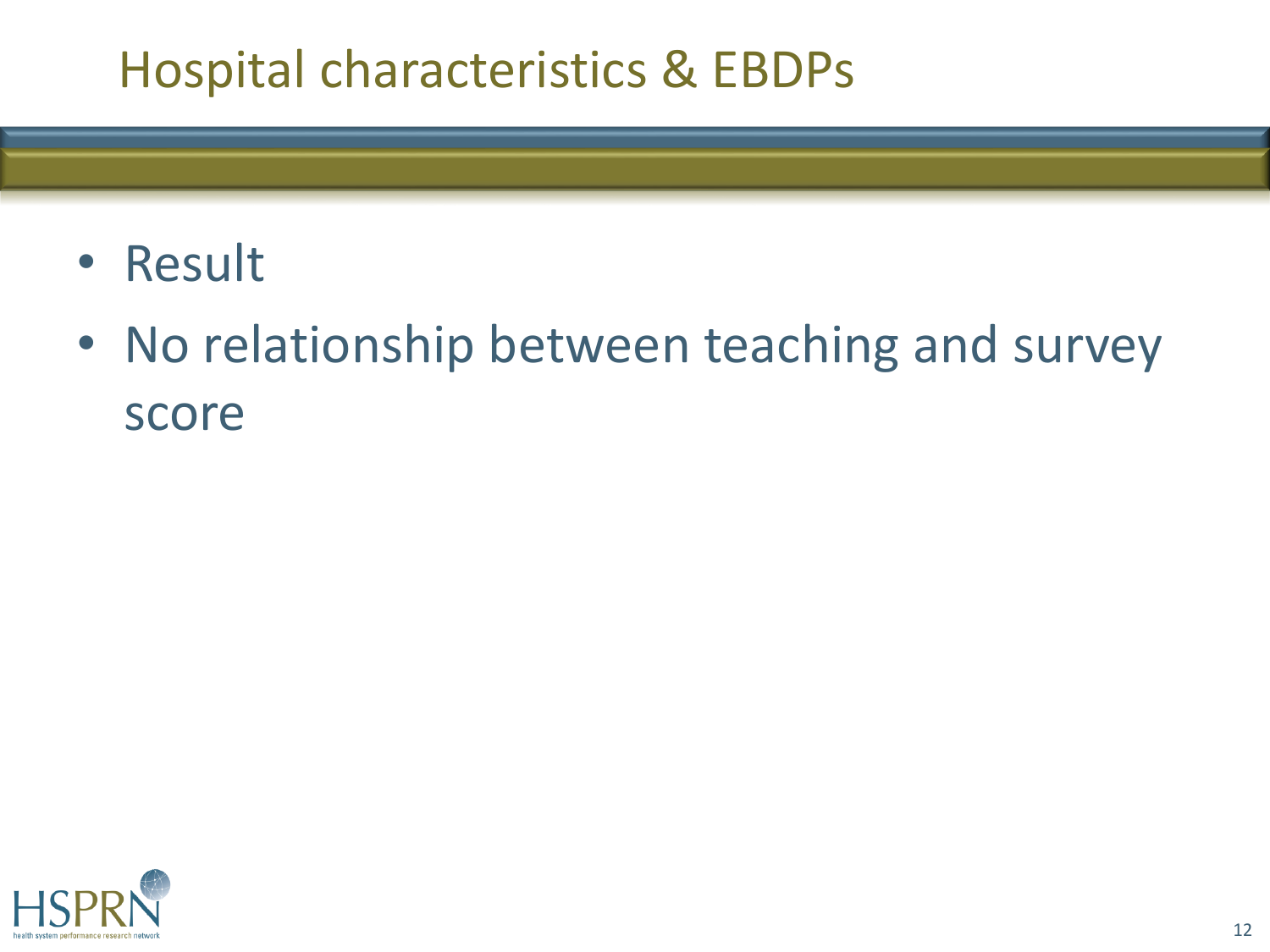- Result
- No relationship between teaching and survey score

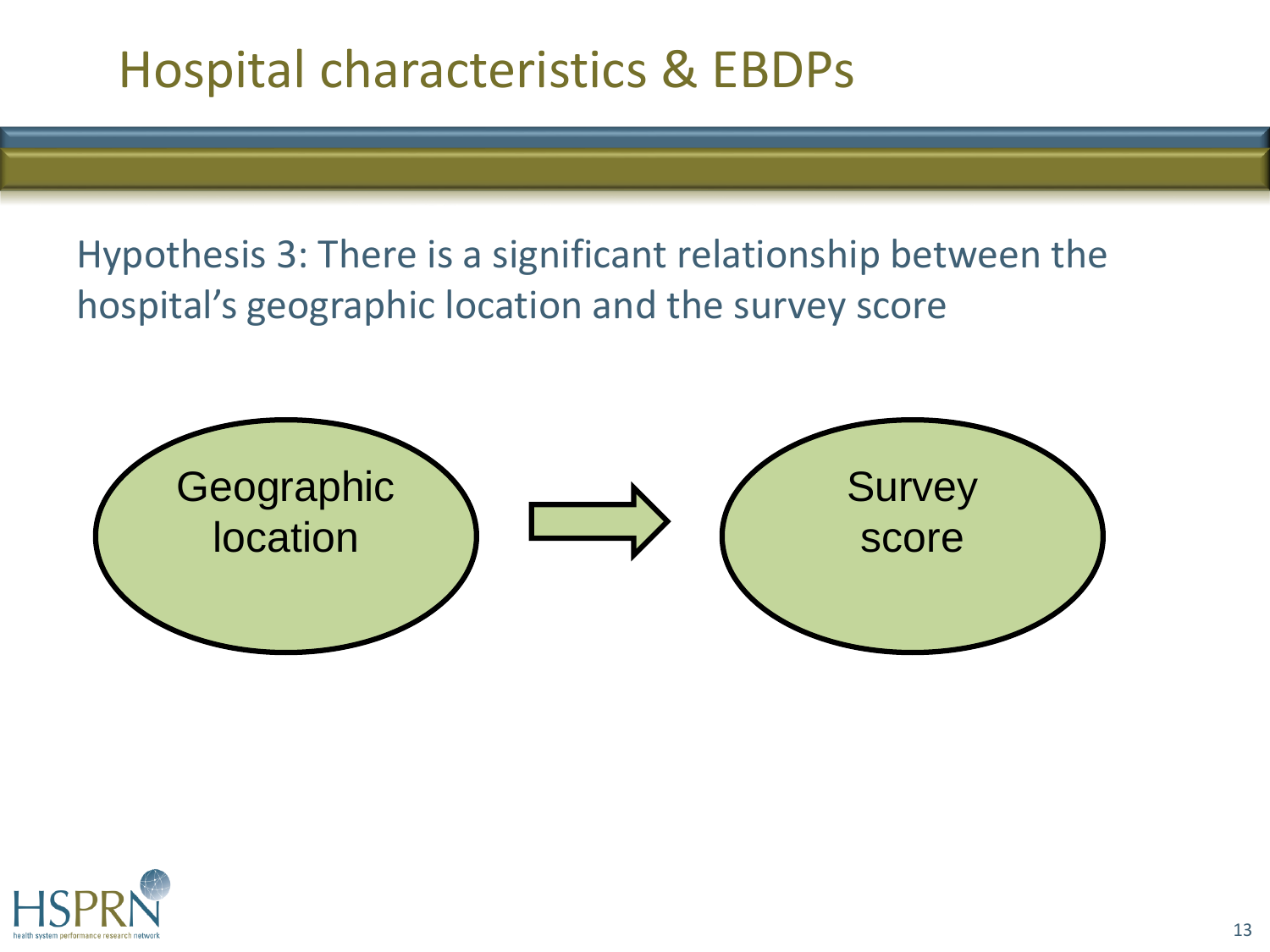Hypothesis 3: There is a significant relationship between the hospital's geographic location and the survey score



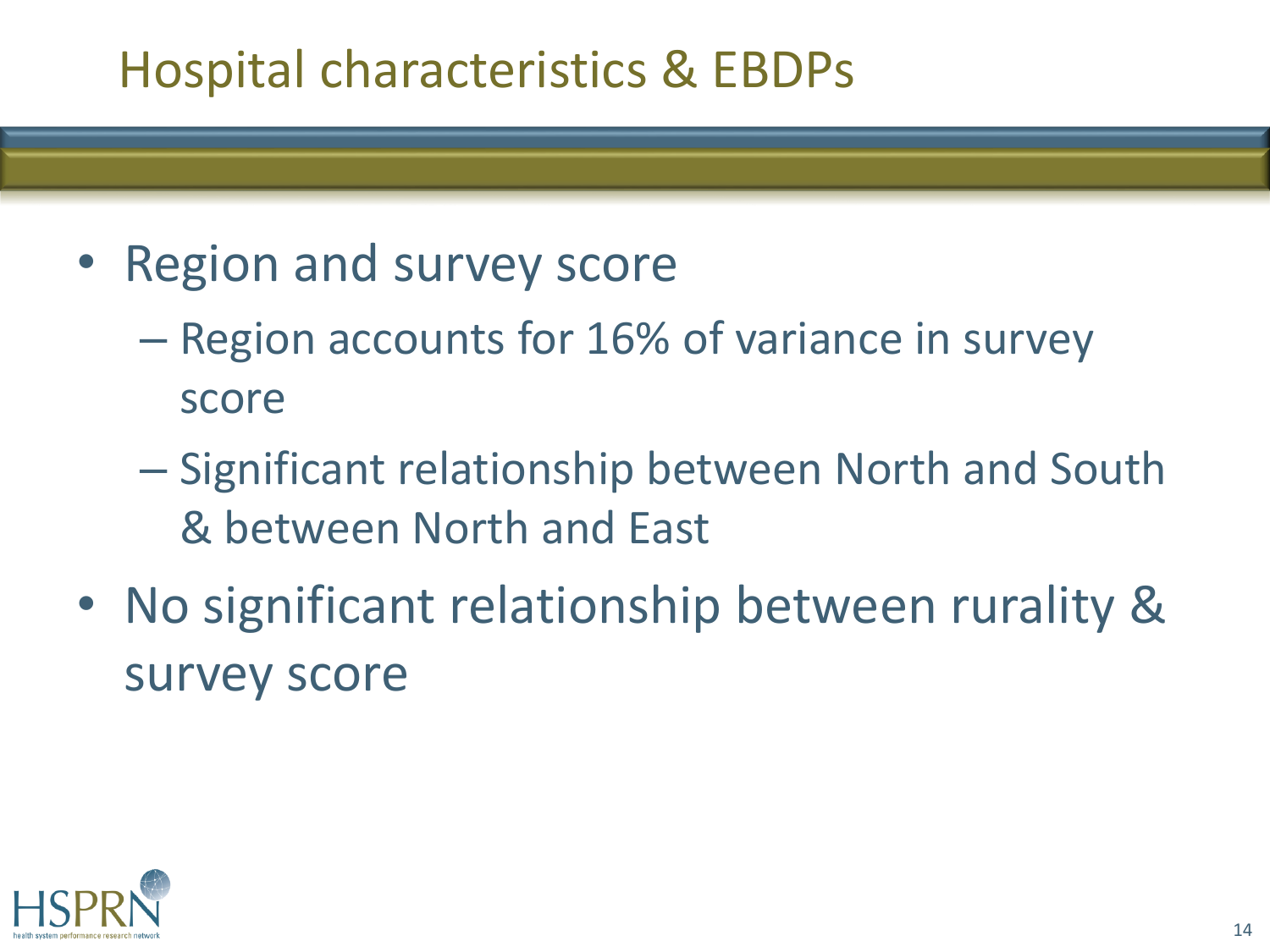- Region and survey score
	- Region accounts for 16% of variance in survey score
	- Significant relationship between North and South & between North and East
- No significant relationship between rurality & survey score

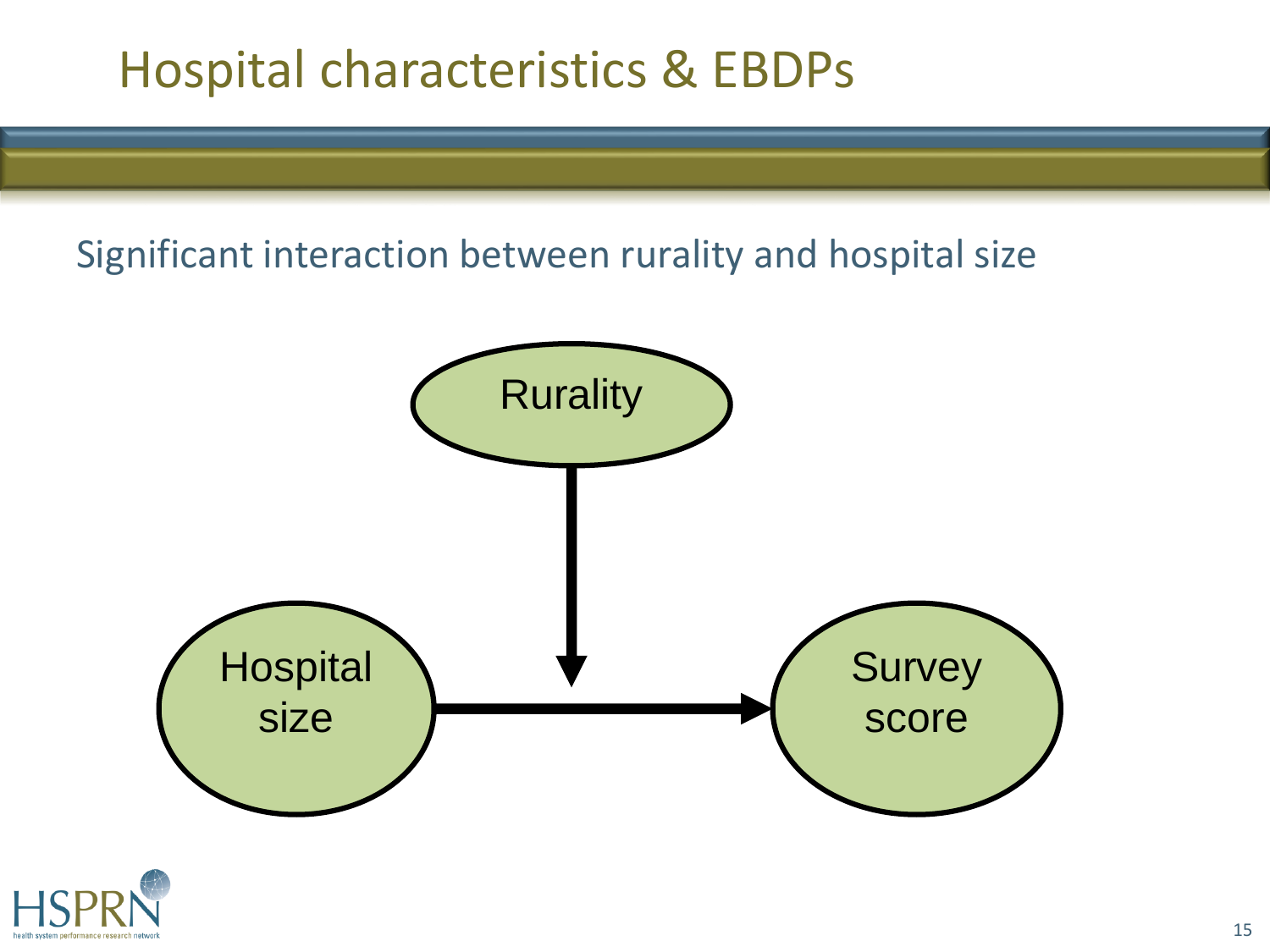#### Significant interaction between rurality and hospital size



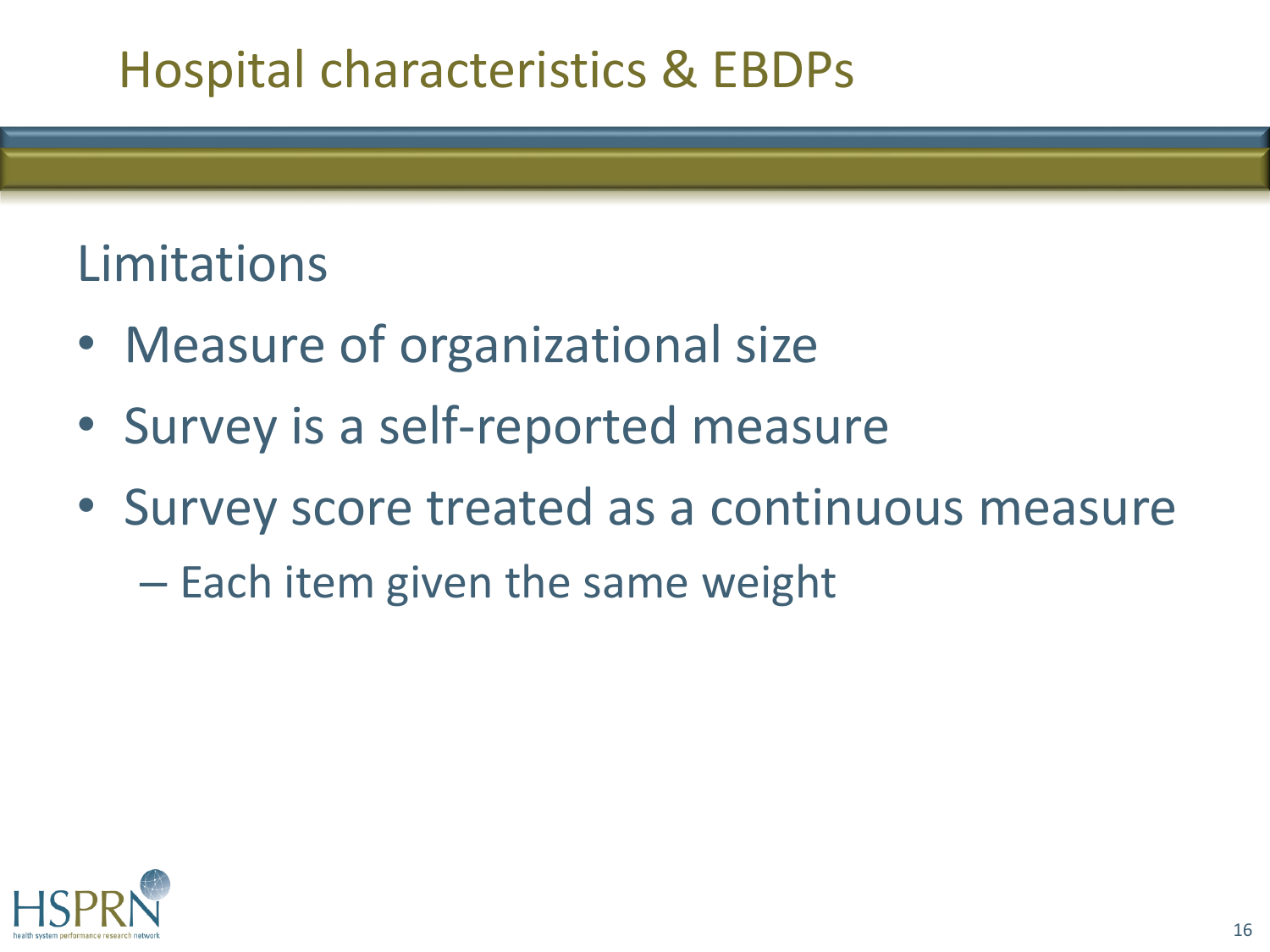#### Limitations

- Measure of organizational size
- Survey is a self-reported measure
- Survey score treated as a continuous measure
	- Each item given the same weight

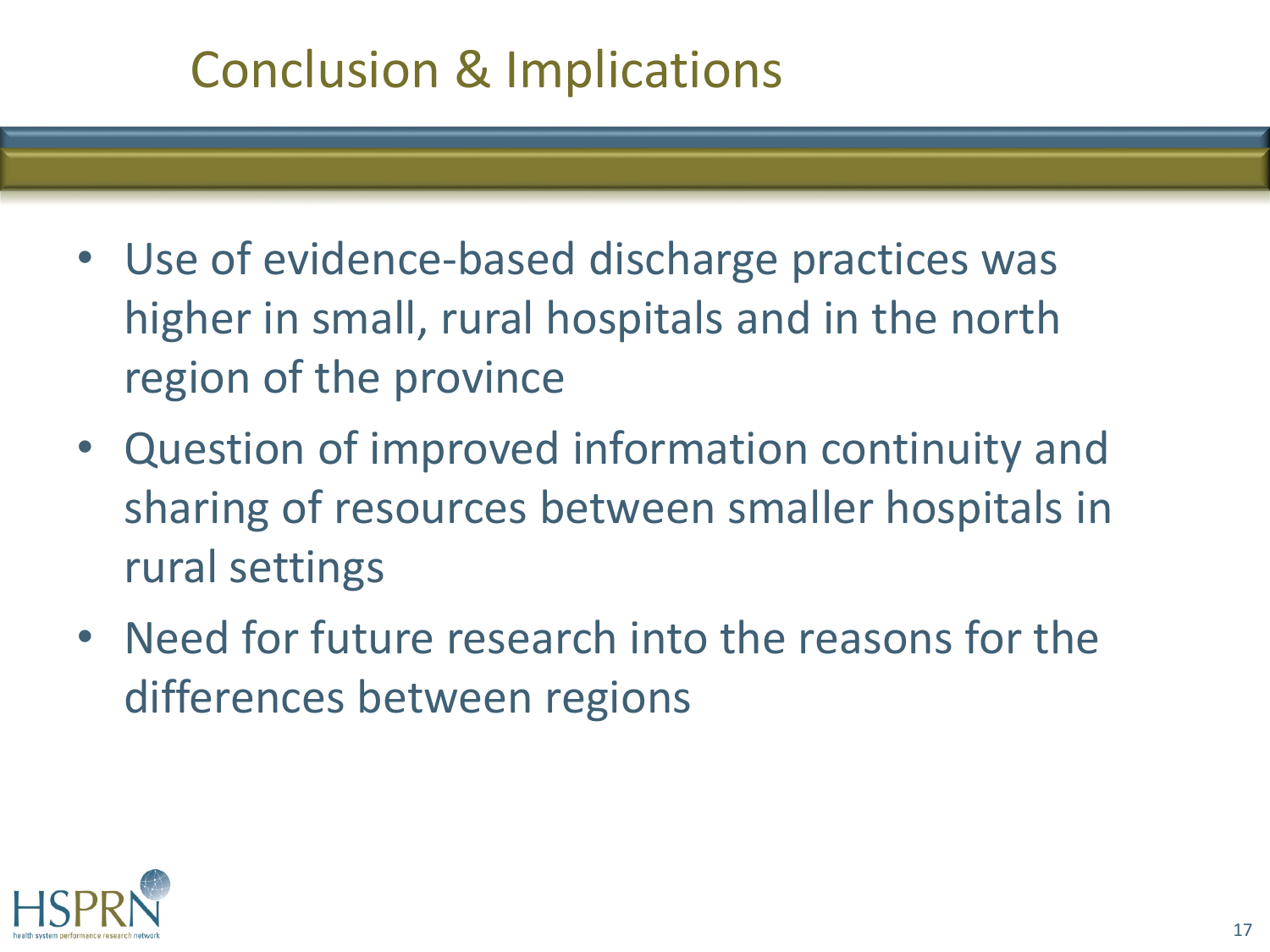### Conclusion & Implications

- Use of evidence-based discharge practices was higher in small, rural hospitals and in the north region of the province
- Question of improved information continuity and sharing of resources between smaller hospitals in rural settings
- Need for future research into the reasons for the differences between regions